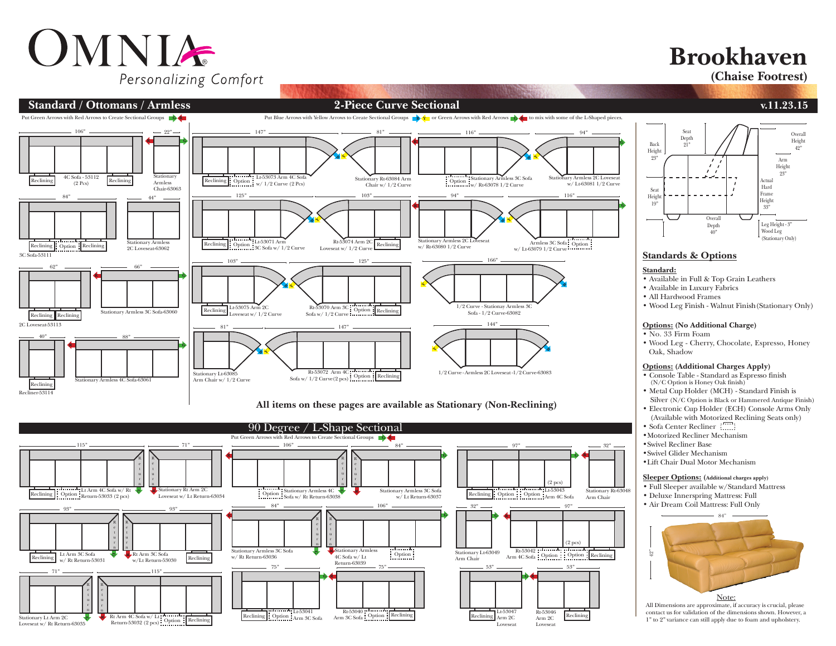# OMNIA Personalizing Comfort

# **Brookhaven**

**(Chaise Footrest)**



## **All items on these pages are available as Stationary (Non-Reclining)**





## **Standards & Options**

- Available in Full & Top Grain Leathers
- Available in Luxury Fabrics
- Wood Leg Finish Walnut Finish(Stationary Only)

#### **Options: (No Additional Charge)**

- 
- Wood Leg Cherry, Chocolate, Espresso, Honey

#### **Options: (Additional Charges Apply)**

- Console Table Standard as Espresso finish (N/C Option is Honey Oak finish)
- Metal Cup Holder (MCH) Standard Finish is Silver (N/C Option is Black or Hammered Antique Finish)
- Electronic Cup Holder (ECH) Console Arms Only (Available with Motorized Reclining Seats only)
- Sofa Center Recliner
- •Motorized Recliner Mechanism
- •Swivel Recliner Base
- •Swivel Glider Mechanism
- •Lift Chair Dual Motor Mechanism

### **Sleeper Options: (Additional charges apply)**

- Full Sleeper available w/Standard Mattress
- Deluxe Innerspring Mattress: Full
- Air Dream Coil Mattress: Full Only



All Dimensions are approximate, if accuracy is crucial, please contact us for validation of the dimensions shown. However, a 1" to 2" variance can still apply due to foam and upholstery.